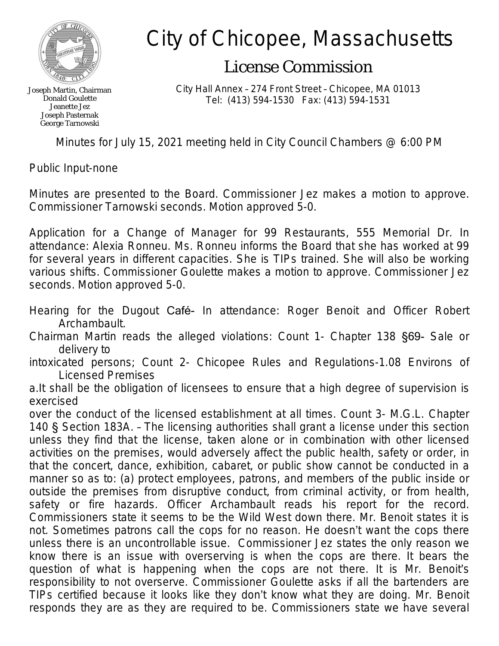

Joseph Martin, Chairman Donald Goulette Jeanette Jez Joseph Pasternak George Tarnowski

## City of Chicopee, Massachusetts

## License Commission

City Hall Annex – 274 Front Street – Chicopee, MA 01013 Tel: (413) 594-1530 Fax: (413) 594-1531

Minutes for July 15, 2021 meeting held in City Council Chambers @ 6:00 PM

Public Input-none

Minutes are presented to the Board. Commissioner Jez makes a motion to approve. Commissioner Tarnowski seconds. Motion approved 5-0.

Application for a Change of Manager for 99 Restaurants, 555 Memorial Dr. In attendance: Alexia Ronneu. Ms. Ronneu informs the Board that she has worked at 99 for several years in different capacities. She is TIPs trained. She will also be working various shifts. Commissioner Goulette makes a motion to approve. Commissioner Jez seconds. Motion approved 5-0.

- Hearing for the Dugout Café- In attendance: Roger Benoit and Officer Robert Archambault.
- Chairman Martin reads the alleged violations: Count 1- Chapter 138 §69- Sale or delivery to
- intoxicated persons; Count 2- Chicopee Rules and Regulations-1.08 Environs of Licensed Premises
- a.It shall be the obligation of licensees to ensure that a high degree of supervision is exercised

over the conduct of the licensed establishment at all times. Count 3- M.G.L. Chapter 140 § Section 183A. – The licensing authorities shall grant a license under this section unless they find that the license, taken alone or in combination with other licensed activities on the premises, would adversely affect the public health, safety or order, in that the concert, dance, exhibition, cabaret, or public show cannot be conducted in a manner so as to: (a) protect employees, patrons, and members of the public inside or outside the premises from disruptive conduct, from criminal activity, or from health, safety or fire hazards. Officer Archambault reads his report for the record. Commissioners state it seems to be the Wild West down there. Mr. Benoit states it is not. Sometimes patrons call the cops for no reason. He doesn't want the cops there unless there is an uncontrollable issue. Commissioner Jez states the only reason we know there is an issue with overserving is when the cops are there. It bears the question of what is happening when the cops are not there. It is Mr. Benoit's responsibility to not overserve. Commissioner Goulette asks if all the bartenders are TIPs certified because it looks like they don't know what they are doing. Mr. Benoit responds they are as they are required to be. Commissioners state we have several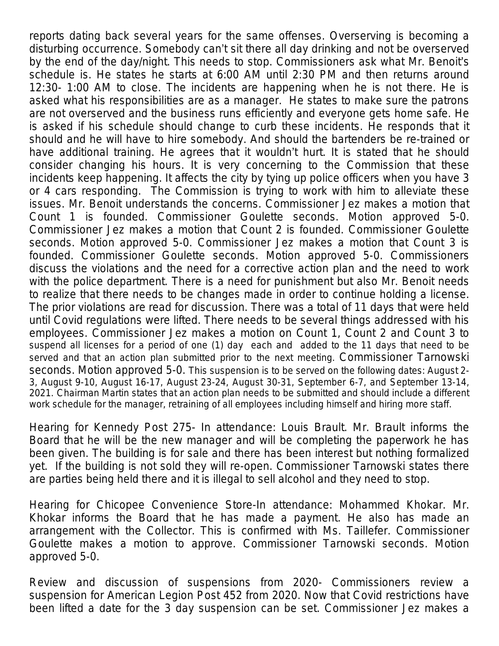reports dating back several years for the same offenses. Overserving is becoming a disturbing occurrence. Somebody can't sit there all day drinking and not be overserved by the end of the day/night. This needs to stop. Commissioners ask what Mr. Benoit's schedule is. He states he starts at 6:00 AM until 2:30 PM and then returns around 12:30- 1:00 AM to close. The incidents are happening when he is not there. He is asked what his responsibilities are as a manager. He states to make sure the patrons are not overserved and the business runs efficiently and everyone gets home safe. He is asked if his schedule should change to curb these incidents. He responds that it should and he will have to hire somebody. And should the bartenders be re-trained or have additional training. He agrees that it wouldn't hurt. It is stated that he should consider changing his hours. It is very concerning to the Commission that these incidents keep happening. It affects the city by tying up police officers when you have 3 or 4 cars responding. The Commission is trying to work with him to alleviate these issues. Mr. Benoit understands the concerns. Commissioner Jez makes a motion that Count 1 is founded. Commissioner Goulette seconds. Motion approved 5-0. Commissioner Jez makes a motion that Count 2 is founded. Commissioner Goulette seconds. Motion approved 5-0. Commissioner Jez makes a motion that Count 3 is founded. Commissioner Goulette seconds. Motion approved 5-0. Commissioners discuss the violations and the need for a corrective action plan and the need to work with the police department. There is a need for punishment but also Mr. Benoit needs to realize that there needs to be changes made in order to continue holding a license. The prior violations are read for discussion. There was a total of 11 days that were held until Covid regulations were lifted. There needs to be several things addressed with his employees. Commissioner Jez makes a motion on Count 1, Count 2 and Count 3 to suspend all licenses for a period of one (1) day each and added to the 11 days that need to be served and that an action plan submitted prior to the next meeting. Commissioner Tarnowski seconds. Motion approved 5-0. This suspension is to be served on the following dates: August 2- 3, August 9-10, August 16-17, August 23-24, August 30-31, September 6-7, and September 13-14, 2021. Chairman Martin states that an action plan needs to be submitted and should include a different work schedule for the manager, retraining of all employees including himself and hiring more staff.

Hearing for Kennedy Post 275- In attendance: Louis Brault. Mr. Brault informs the Board that he will be the new manager and will be completing the paperwork he has been given. The building is for sale and there has been interest but nothing formalized yet. If the building is not sold they will re-open. Commissioner Tarnowski states there are parties being held there and it is illegal to sell alcohol and they need to stop.

Hearing for Chicopee Convenience Store-In attendance: Mohammed Khokar. Mr. Khokar informs the Board that he has made a payment. He also has made an arrangement with the Collector. This is confirmed with Ms. Taillefer. Commissioner Goulette makes a motion to approve. Commissioner Tarnowski seconds. Motion approved 5-0.

Review and discussion of suspensions from 2020- Commissioners review a suspension for American Legion Post 452 from 2020. Now that Covid restrictions have been lifted a date for the 3 day suspension can be set. Commissioner Jez makes a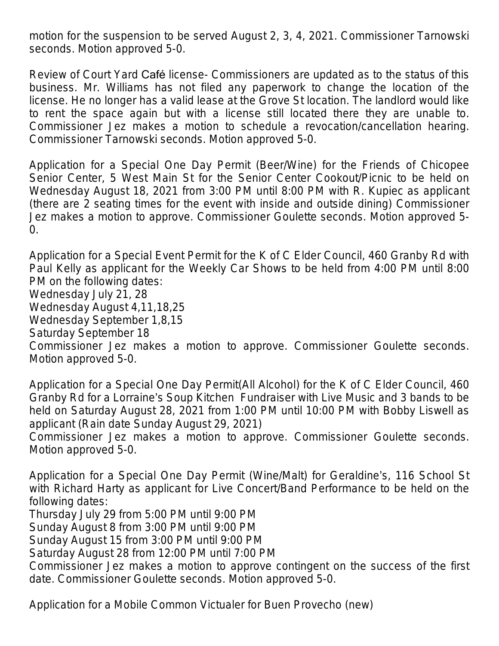motion for the suspension to be served August 2, 3, 4, 2021. Commissioner Tarnowski seconds. Motion approved 5-0.

Review of Court Yard Café license- Commissioners are updated as to the status of this business. Mr. Williams has not filed any paperwork to change the location of the license. He no longer has a valid lease at the Grove St location. The landlord would like to rent the space again but with a license still located there they are unable to. Commissioner Jez makes a motion to schedule a revocation/cancellation hearing. Commissioner Tarnowski seconds. Motion approved 5-0.

Application for a Special One Day Permit (Beer/Wine) for the Friends of Chicopee Senior Center, 5 West Main St for the Senior Center Cookout/Picnic to be held on Wednesday August 18, 2021 from 3:00 PM until 8:00 PM with R. Kupiec as applicant (there are 2 seating times for the event with inside and outside dining) Commissioner Jez makes a motion to approve. Commissioner Goulette seconds. Motion approved 5-  $\Omega$ .

Application for a Special Event Permit for the K of C Elder Council, 460 Granby Rd with Paul Kelly as applicant for the Weekly Car Shows to be held from 4:00 PM until 8:00 PM on the following dates: Wednesday July 21, 28 Wednesday August 4,11,18,25 Wednesday September 1,8,15 Saturday September 18 Commissioner Jez makes a motion to approve. Commissioner Goulette seconds. Motion approved 5-0.

Application for a Special One Day Permit(All Alcohol) for the K of C Elder Council, 460 Granby Rd for a Lorraine's Soup Kitchen Fundraiser with Live Music and 3 bands to be held on Saturday August 28, 2021 from 1:00 PM until 10:00 PM with Bobby Liswell as applicant (Rain date Sunday August 29, 2021)

Commissioner Jez makes a motion to approve. Commissioner Goulette seconds. Motion approved 5-0.

Application for a Special One Day Permit (Wine/Malt) for Geraldine's, 116 School St with Richard Harty as applicant for Live Concert/Band Performance to be held on the following dates:

Thursday July 29 from 5:00 PM until 9:00 PM

Sunday August 8 from 3:00 PM until 9:00 PM

Sunday August 15 from 3:00 PM until 9:00 PM

Saturday August 28 from 12:00 PM until 7:00 PM

Commissioner Jez makes a motion to approve contingent on the success of the first date. Commissioner Goulette seconds. Motion approved 5-0.

Application for a Mobile Common Victualer for Buen Provecho (new)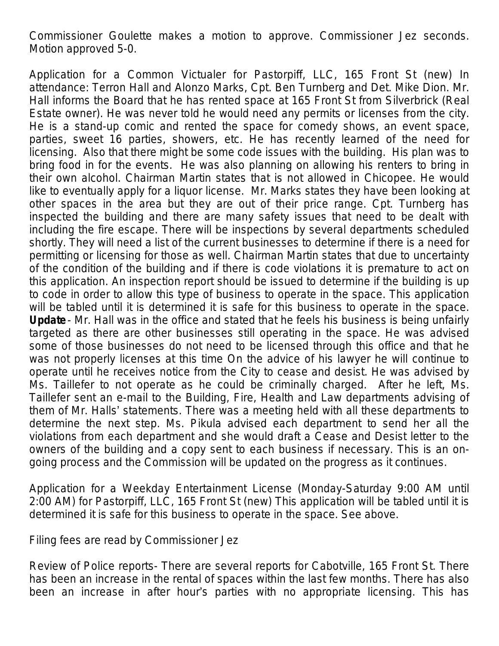Commissioner Goulette makes a motion to approve. Commissioner Jez seconds. Motion approved 5-0.

Application for a Common Victualer for Pastorpiff, LLC, 165 Front St (new) In attendance: Terron Hall and Alonzo Marks, Cpt. Ben Turnberg and Det. Mike Dion. Mr. Hall informs the Board that he has rented space at 165 Front St from Silverbrick (Real Estate owner). He was never told he would need any permits or licenses from the city. He is a stand-up comic and rented the space for comedy shows, an event space, parties, sweet 16 parties, showers, etc. He has recently learned of the need for licensing. Also that there might be some code issues with the building. His plan was to bring food in for the events. He was also planning on allowing his renters to bring in their own alcohol. Chairman Martin states that is not allowed in Chicopee. He would like to eventually apply for a liquor license. Mr. Marks states they have been looking at other spaces in the area but they are out of their price range. Cpt. Turnberg has inspected the building and there are many safety issues that need to be dealt with including the fire escape. There will be inspections by several departments scheduled shortly. They will need a list of the current businesses to determine if there is a need for permitting or licensing for those as well. Chairman Martin states that due to uncertainty of the condition of the building and if there is code violations it is premature to act on this application. An inspection report should be issued to determine if the building is up to code in order to allow this type of business to operate in the space. This application will be tabled until it is determined it is safe for this business to operate in the space. **Update**- Mr. Hall was in the office and stated that he feels his business is being unfairly targeted as there are other businesses still operating in the space. He was advised some of those businesses do not need to be licensed through this office and that he was not properly licenses at this time On the advice of his lawyer he will continue to operate until he receives notice from the City to cease and desist. He was advised by Ms. Taillefer to not operate as he could be criminally charged. After he left, Ms. Taillefer sent an e-mail to the Building, Fire, Health and Law departments advising of them of Mr. Halls' statements. There was a meeting held with all these departments to determine the next step. Ms. Pikula advised each department to send her all the violations from each department and she would draft a Cease and Desist letter to the owners of the building and a copy sent to each business if necessary. This is an ongoing process and the Commission will be updated on the progress as it continues.

Application for a Weekday Entertainment License (Monday-Saturday 9:00 AM until 2:00 AM) for Pastorpiff, LLC, 165 Front St (new) This application will be tabled until it is determined it is safe for this business to operate in the space. See above.

Filing fees are read by Commissioner Jez

Review of Police reports- There are several reports for Cabotville, 165 Front St. There has been an increase in the rental of spaces within the last few months. There has also been an increase in after hour's parties with no appropriate licensing. This has